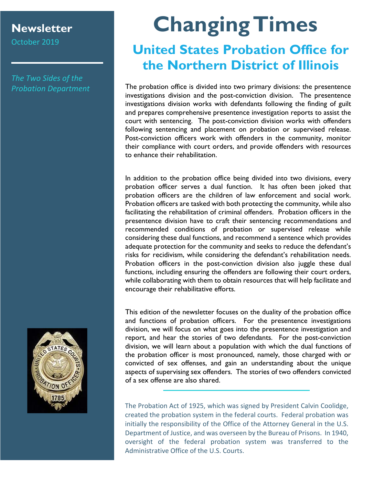#### **Newsletter**

October 2019

*The Two Sides of the Probation Department*

# **Changing Times**

### **United States Probation Office for the Northern District of Illinois**

The probation office is divided into two primary divisions: the presentence investigations division and the post-conviction division. The presentence investigations division works with defendants following the finding of guilt and prepares comprehensive presentence investigation reports to assist the court with sentencing. The post-conviction division works with offenders following sentencing and placement on probation or supervised release. Post-conviction officers work with offenders in the community, monitor their compliance with court orders, and provide offenders with resources to enhance their rehabilitation.

In addition to the probation office being divided into two divisions, every probation officer serves a dual function. It has often been joked that probation officers are the children of law enforcement and social work. Probation officers are tasked with both protecting the community, while also facilitating the rehabilitation of criminal offenders. Probation officers in the presentence division have to craft their sentencing recommendations and recommended conditions of probation or supervised release while considering these dual functions, and recommend a sentence which provides adequate protection for the community and seeks to reduce the defendant's risks for recidivism, while considering the defendant's rehabilitation needs. Probation officers in the post-conviction division also juggle these dual functions, including ensuring the offenders are following their court orders, while collaborating with them to obtain resources that will help facilitate and encourage their rehabilitative efforts.

This edition of the newsletter focuses on the duality of the probation office and functions of probation officers. For the presentence investigations division, we will focus on what goes into the presentence investigation and report, and hear the stories of two defendants. For the post-conviction division, we will learn about a population with which the dual functions of the probation officer is most pronounced, namely, those charged with or convicted of sex offenses, and gain an understanding about the unique aspects of supervising sex offenders. The stories of two offenders convicted of a sex offense are also shared.

The Probation Act of 1925, which was signed by President Calvin Coolidge, created the probation system in the federal courts. Federal probation was initially the responsibility of the Office of the Attorney General in the U.S. Department of Justice, and was overseen by the Bureau of Prisons. In 1940, oversight of the federal probation system was transferred to the Administrative Office of the U.S. Courts.

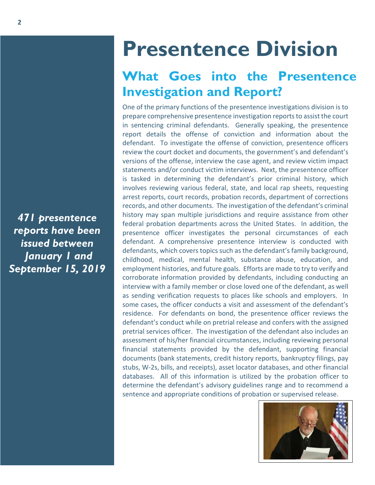## **Presentence Division**

### **What Goes into the Presentence Investigation and Report?**

One of the primary functions of the presentence investigations division is to prepare comprehensive presentence investigation reports to assist the court in sentencing criminal defendants. Generally speaking, the presentence report details the offense of conviction and information about the defendant. To investigate the offense of conviction, presentence officers review the court docket and documents, the government's and defendant's versions of the offense, interview the case agent, and review victim impact statements and/or conduct victim interviews. Next, the presentence officer is tasked in determining the defendant's prior criminal history, which involves reviewing various federal, state, and local rap sheets, requesting arrest reports, court records, probation records, department of corrections records, and other documents. The investigation of the defendant's criminal history may span multiple jurisdictions and require assistance from other federal probation departments across the United States. In addition, the presentence officer investigates the personal circumstances of each defendant. A comprehensive presentence interview is conducted with defendants, which covers topics such as the defendant's family background, childhood, medical, mental health, substance abuse, education, and employment histories, and future goals. Efforts are made to try to verify and corroborate information provided by defendants, including conducting an interview with a family member or close loved one of the defendant, as well as sending verification requests to places like schools and employers. In some cases, the officer conducts a visit and assessment of the defendant's residence. For defendants on bond, the presentence officer reviews the defendant's conduct while on pretrial release and confers with the assigned pretrial services officer. The investigation of the defendant also includes an assessment of his/her financial circumstances, including reviewing personal financial statements provided by the defendant, supporting financial documents (bank statements, credit history reports, bankruptcy filings, pay stubs, W-2s, bills, and receipts), asset locator databases, and other financial databases. All of this information is utilized by the probation officer to determine the defendant's advisory guidelines range and to recommend a sentence and appropriate conditions of probation or supervised release.

*471 presentence reports have been issued between January 1 and September 15, 2019*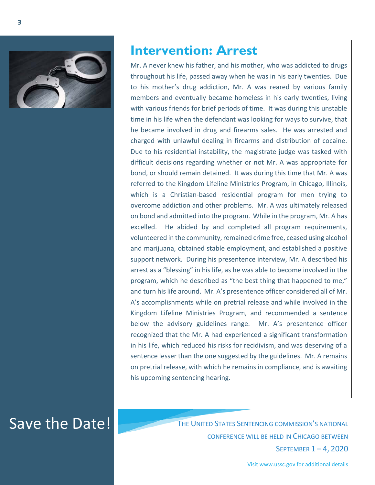

#### **Intervention: Arrest**

Mr. A never knew his father, and his mother, who was addicted to drugs throughout his life, passed away when he was in his early twenties. Due to his mother's drug addiction, Mr. A was reared by various family members and eventually became homeless in his early twenties, living with various friends for brief periods of time. It was during this unstable time in his life when the defendant was looking for ways to survive, that he became involved in drug and firearms sales. He was arrested and charged with unlawful dealing in firearms and distribution of cocaine. Due to his residential instability, the magistrate judge was tasked with difficult decisions regarding whether or not Mr. A was appropriate for bond, or should remain detained. It was during this time that Mr. A was referred to the Kingdom Lifeline Ministries Program, in Chicago, Illinois, which is a Christian-based residential program for men trying to overcome addiction and other problems. Mr. A was ultimately released on bond and admitted into the program. While in the program, Mr. A has excelled. He abided by and completed all program requirements, volunteered in the community, remained crime free, ceased using alcohol and marijuana, obtained stable employment, and established a positive support network. During his presentence interview, Mr. A described his arrest as a "blessing" in his life, as he was able to become involved in the program, which he described as "the best thing that happened to me," and turn his life around. Mr. A's presentence officer considered all of Mr. A's accomplishments while on pretrial release and while involved in the Kingdom Lifeline Ministries Program, and recommended a sentence below the advisory guidelines range. Mr. A's presentence officer recognized that the Mr. A had experienced a significant transformation in his life, which reduced his risks for recidivism, and was deserving of a sentence lesser than the one suggested by the guidelines. Mr. A remains on pretrial release, with which he remains in compliance, and is awaiting his upcoming sentencing hearing.

Save the Date! THE UNITED STATES SENTENCING COMMISSION'S NATIONAL CONFERENCE WILL BE HELD IN CHICAGO BETWEEN SEPTEMBER 1 – 4, 2020

Visit www.ussc.gov for additional details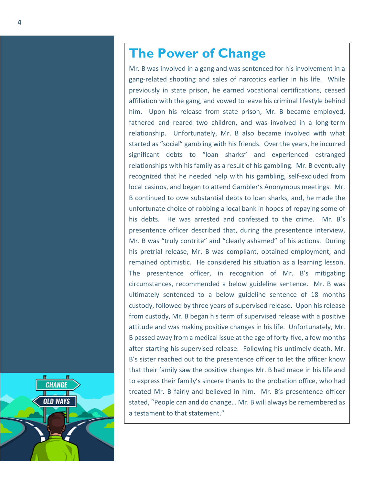#### **The Power of Change**

Mr. B was involved in a gang and was sentenced for his involvement in a gang-related shooting and sales of narcotics earlier in his life. While previously in state prison, he earned vocational certifications, ceased affiliation with the gang, and vowed to leave his criminal lifestyle behind him. Upon his release from state prison, Mr. B became employed, fathered and reared two children, and was involved in a long-term relationship. Unfortunately, Mr. B also became involved with what started as "social" gambling with his friends. Over the years, he incurred significant debts to "loan sharks" and experienced estranged relationships with his family as a result of his gambling. Mr. B eventually recognized that he needed help with his gambling, self-excluded from local casinos, and began to attend Gambler's Anonymous meetings. Mr. B continued to owe substantial debts to loan sharks, and, he made the unfortunate choice of robbing a local bank in hopes of repaying some of his debts. He was arrested and confessed to the crime. Mr. B's presentence officer described that, during the presentence interview, Mr. B was "truly contrite" and "clearly ashamed" of his actions. During his pretrial release, Mr. B was compliant, obtained employment, and remained optimistic. He considered his situation as a learning lesson. The presentence officer, in recognition of Mr. B's mitigating circumstances, recommended a below guideline sentence. Mr. B was ultimately sentenced to a below guideline sentence of 18 months custody, followed by three years of supervised release. Upon his release from custody, Mr. B began his term of supervised release with a positive attitude and was making positive changes in his life. Unfortunately, Mr. B passed away from a medical issue at the age of forty-five, a few months after starting his supervised release. Following his untimely death, Mr. B's sister reached out to the presentence officer to let the officer know that their family saw the positive changes Mr. B had made in his life and to express their family's sincere thanks to the probation office, who had treated Mr. B fairly and believed in him. Mr. B's presentence officer stated, "People can and do change… Mr. B will always be remembered as a testament to that statement."

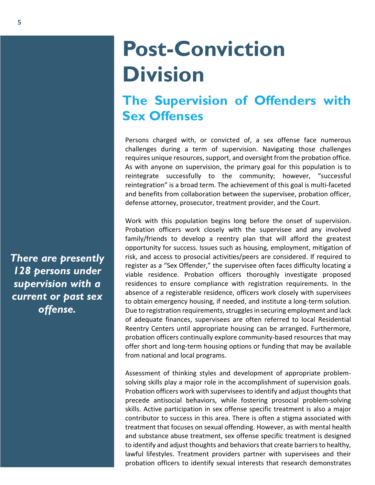## **Post-Conviction Division**

#### **The Supervision of Offenders with Sex Offenses**

Persons charged with, or convicted of, a sex offense face numerous challenges during a term of supervision. Navigating those challenges requires unique resources, support, and oversight from the probation office. As with anyone on supervision, the primary goal for this population is to reintegrate successfully to the community; however, "successful reintegration" is a broad term. The achievement of this goal is multi-faceted and benefits from collaboration between the supervisee, probation officer, defense attorney, prosecutor, treatment provider, and the Court.

Work with this population begins long before the onset of supervision. Probation officers work closely with the supervisee and any involved family/friends to develop a reentry plan that will afford the greatest opportunity for success. Issues such as housing, employment, mitigation of risk, and access to prosocial activities/peers are considered. If required to register as a "Sex Offender," the supervisee often faces difficulty locating a viable residence. Probation officers thoroughly investigate proposed residences to ensure compliance with registration requirements. In the absence of a registerable residence, officers work closely with supervisees to obtain emergency housing, if needed, and institute a long-term solution. Due to registration requirements, struggles in securing employment and lack of adequate finances, supervisees are often referred to local Residential Reentry Centers until appropriate housing can be arranged. Furthermore, probation officers continually explore community-based resources that may offer short and long-term housing options or funding that may be available from national and local programs.

Assessment of thinking styles and development of appropriate problemsolving skills play a major role in the accomplishment of supervision goals. Probation officers work with supervisees to identify and adjust thoughts that precede antisocial behaviors, while fostering prosocial problem-solving skills. Active participation in sex offense specific treatment is also a major contributor to success in this area. There is often a stigma associated with treatment that focuses on sexual offending. However, as with mental health and substance abuse treatment, sex offense specific treatment is designed to identify and adjust thoughts and behaviors that create barriers to healthy, lawful lifestyles. Treatment providers partner with supervisees and their probation officers to identify sexual interests that research demonstrates

*There are presently 128 persons under supervision with a current or past sex offense.*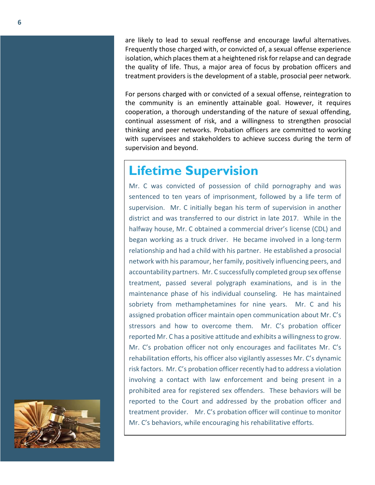are likely to lead to sexual reoffense and encourage lawful alternatives. Frequently those charged with, or convicted of, a sexual offense experience isolation, which places them at a heightened risk for relapse and can degrade the quality of life. Thus, a major area of focus by probation officers and treatment providers is the development of a stable, prosocial peer network.

For persons charged with or convicted of a sexual offense, reintegration to the community is an eminently attainable goal. However, it requires cooperation, a thorough understanding of the nature of sexual offending, continual assessment of risk, and a willingness to strengthen prosocial thinking and peer networks. Probation officers are committed to working with supervisees and stakeholders to achieve success during the term of supervision and beyond.

#### **Lifetime Supervision**

Mr. C was convicted of possession of child pornography and was sentenced to ten years of imprisonment, followed by a life term of supervision. Mr. C initially began his term of supervision in another district and was transferred to our district in late 2017. While in the halfway house, Mr. C obtained a commercial driver's license (CDL) and began working as a truck driver. He became involved in a long-term relationship and had a child with his partner. He established a prosocial network with his paramour, her family, positively influencing peers, and accountability partners. Mr. C successfully completed group sex offense treatment, passed several polygraph examinations, and is in the maintenance phase of his individual counseling. He has maintained sobriety from methamphetamines for nine years. Mr. C and his assigned probation officer maintain open communication about Mr. C's stressors and how to overcome them. Mr. C's probation officer reported Mr. C has a positive attitude and exhibits a willingness to grow. Mr. C's probation officer not only encourages and facilitates Mr. C's rehabilitation efforts, his officer also vigilantly assesses Mr. C's dynamic risk factors. Mr. C's probation officer recently had to address a violation involving a contact with law enforcement and being present in a prohibited area for registered sex offenders. These behaviors will be reported to the Court and addressed by the probation officer and treatment provider. Mr. C's probation officer will continue to monitor Mr. C's behaviors, while encouraging his rehabilitative efforts.